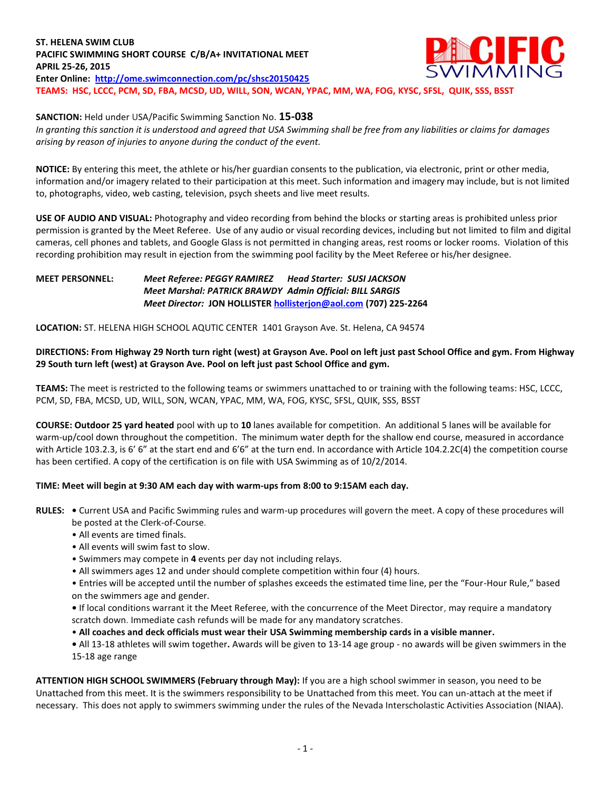#### **ST. HELENA SWIM CLUB CIFIC PACIFIC SWIMMING SHORT COURSE C/B/A+ INVITATIONAL MEET APRIL 25-26, 2015 Enter Online: <http://ome.swimconnection.com/pc/shsc20150425> TEAMS: HSC, LCCC, PCM, SD, FBA, MCSD, UD, WILL, SON, WCAN, YPAC, MM, WA, FOG, KYSC, SFSL, QUIK, SSS, BSST**

## **SANCTION:** Held under USA/Pacific Swimming Sanction No. **15-038**

*In granting this sanction it is understood and agreed that USA Swimming shall be free from any liabilities or claims for damages arising by reason of injuries to anyone during the conduct of the event.*

**NOTICE:** By entering this meet, the athlete or his/her guardian consents to the publication, via electronic, print or other media, information and/or imagery related to their participation at this meet. Such information and imagery may include, but is not limited to, photographs, video, web casting, television, psych sheets and live meet results.

**USE OF AUDIO AND VISUAL:** Photography and video recording from behind the blocks or starting areas is prohibited unless prior permission is granted by the Meet Referee. Use of any audio or visual recording devices, including but not limited to film and digital cameras, cell phones and tablets, and Google Glass is not permitted in changing areas, rest rooms or locker rooms. Violation of this recording prohibition may result in ejection from the swimming pool facility by the Meet Referee or his/her designee.

### **MEET PERSONNEL:** *Meet Referee: PEGGY RAMIREZ Head Starter: SUSI JACKSON Meet Marshal: PATRICK BRAWDY Admin Official: BILL SARGIS Meet Director:* **JON HOLLISTE[R hollisterjon@aol.com](mailto:hollisterjon@aol.com) (707) 225-2264**

**LOCATION:** ST. HELENA HIGH SCHOOL AQUTIC CENTER 1401 Grayson Ave. St. Helena, CA 94574

## **DIRECTIONS: From Highway 29 North turn right (west) at Grayson Ave. Pool on left just past School Office and gym. From Highway 29 South turn left (west) at Grayson Ave. Pool on left just past School Office and gym.**

**TEAMS:** The meet is restricted to the following teams or swimmers unattached to or training with the following teams: HSC, LCCC, PCM, SD, FBA, MCSD, UD, WILL, SON, WCAN, YPAC, MM, WA, FOG, KYSC, SFSL, QUIK, SSS, BSST

**COURSE: Outdoor 25 yard heated** pool with up to **10** lanes available for competition.An additional 5 lanes will be available for warm-up/cool down throughout the competition. The minimum water depth for the shallow end course, measured in accordance with Article 103.2.3, is 6' 6" at the start end and 6'6" at the turn end. In accordance with Article 104.2.2C(4) the competition course has been certified. A copy of the certification is on file with USA Swimming as of 10/2/2014.

### **TIME: Meet will begin at 9:30 AM each day with warm-ups from 8:00 to 9:15AM each day.**

- **RULES:** Current USA and Pacific Swimming rules and warm-up procedures will govern the meet. A copy of these procedures will be posted at the Clerk-of-Course.
	- All events are timed finals.
	- All events will swim fast to slow.
	- Swimmers may compete in **4** events per day not including relays.
	- All swimmers ages 12 and under should complete competition within four (4) hours.
	- Entries will be accepted until the number of splashes exceeds the estimated time line, per the "Four-Hour Rule," based on the swimmers age and gender.
	- If local conditions warrant it the Meet Referee, with the concurrence of the Meet Director, may require a mandatory scratch down. Immediate cash refunds will be made for any mandatory scratches.
	- **All coaches and deck officials must wear their USA Swimming membership cards in a visible manner.**
	- All 13-18 athletes will swim together**.** Awards will be given to 13-14 age group no awards will be given swimmers in the 15-18 age range

**ATTENTION HIGH SCHOOL SWIMMERS (February through May):** If you are a high school swimmer in season, you need to be Unattached from this meet. It is the swimmers responsibility to be Unattached from this meet. You can un-attach at the meet if necessary. This does not apply to swimmers swimming under the rules of the Nevada Interscholastic Activities Association (NIAA).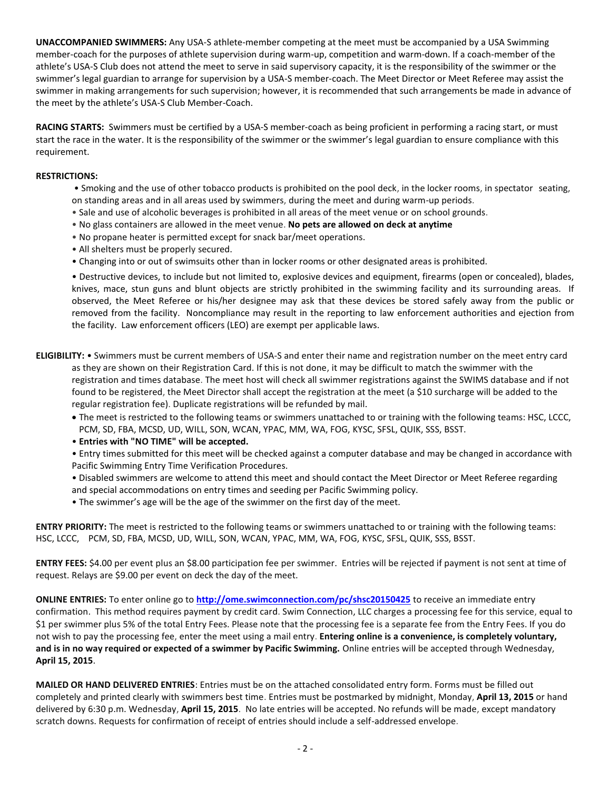**UNACCOMPANIED SWIMMERS:** Any USA-S athlete-member competing at the meet must be accompanied by a USA Swimming member-coach for the purposes of athlete supervision during warm-up, competition and warm-down. If a coach-member of the athlete's USA-S Club does not attend the meet to serve in said supervisory capacity, it is the responsibility of the swimmer or the swimmer's legal guardian to arrange for supervision by a USA-S member-coach. The Meet Director or Meet Referee may assist the swimmer in making arrangements for such supervision; however, it is recommended that such arrangements be made in advance of the meet by the athlete's USA-S Club Member-Coach.

**RACING STARTS:** Swimmers must be certified by a USA-S member-coach as being proficient in performing a racing start, or must start the race in the water. It is the responsibility of the swimmer or the swimmer's legal guardian to ensure compliance with this requirement.

### **RESTRICTIONS:**

- Smoking and the use of other tobacco products is prohibited on the pool deck, in the locker rooms, in spectator seating, on standing areas and in all areas used by swimmers, during the meet and during warm-up periods.
- Sale and use of alcoholic beverages is prohibited in all areas of the meet venue or on school grounds.
- No glass containers are allowed in the meet venue. **No pets are allowed on deck at anytime**
- No propane heater is permitted except for snack bar/meet operations.
- All shelters must be properly secured.
- Changing into or out of swimsuits other than in locker rooms or other designated areas is prohibited.

• Destructive devices, to include but not limited to, explosive devices and equipment, firearms (open or concealed), blades, knives, mace, stun guns and blunt objects are strictly prohibited in the swimming facility and its surrounding areas. If observed, the Meet Referee or his/her designee may ask that these devices be stored safely away from the public or removed from the facility. Noncompliance may result in the reporting to law enforcement authorities and ejection from the facility. Law enforcement officers (LEO) are exempt per applicable laws.

- **ELIGIBILITY:** Swimmers must be current members of USA-S and enter their name and registration number on the meet entry card as they are shown on their Registration Card. If this is not done, it may be difficult to match the swimmer with the registration and times database. The meet host will check all swimmer registrations against the SWIMS database and if not found to be registered, the Meet Director shall accept the registration at the meet (a \$10 surcharge will be added to the regular registration fee). Duplicate registrations will be refunded by mail.
	- The meet is restricted to the following teams or swimmers unattached to or training with the following teams: HSC, LCCC, PCM, SD, FBA, MCSD, UD, WILL, SON, WCAN, YPAC, MM, WA, FOG, KYSC, SFSL, QUIK, SSS, BSST.
	- **Entries with "NO TIME" will be accepted.**
	- Entry times submitted for this meet will be checked against a computer database and may be changed in accordance with Pacific Swimming Entry Time Verification Procedures.
	- Disabled swimmers are welcome to attend this meet and should contact the Meet Director or Meet Referee regarding and special accommodations on entry times and seeding per Pacific Swimming policy.
	- The swimmer's age will be the age of the swimmer on the first day of the meet.

**ENTRY PRIORITY:** The meet is restricted to the following teams or swimmers unattached to or training with the following teams: HSC, LCCC, PCM, SD, FBA, MCSD, UD, WILL, SON, WCAN, YPAC, MM, WA, FOG, KYSC, SFSL, QUIK, SSS, BSST.

**ENTRY FEES:** \$4.00 per event plus an \$8.00 participation fee per swimmer. Entries will be rejected if payment is not sent at time of request. Relays are \$9.00 per event on deck the day of the meet.

**ONLINE ENTRIES:** To enter online go to **<http://ome.swimconnection.com/pc/shsc20150425>** to receive an immediate entry confirmation. This method requires payment by credit card. Swim Connection, LLC charges a processing fee for this service, equal to \$1 per swimmer plus 5% of the total Entry Fees. Please note that the processing fee is a separate fee from the Entry Fees. If you do not wish to pay the processing fee, enter the meet using a mail entry. **Entering online is a convenience, is completely voluntary, and is in no way required or expected of a swimmer by Pacific Swimming.** Online entries will be accepted through Wednesday, **April 15, 2015**.

**MAILED OR HAND DELIVERED ENTRIES**: Entries must be on the attached consolidated entry form. Forms must be filled out completely and printed clearly with swimmers best time. Entries must be postmarked by midnight, Monday, **April 13, 2015** or hand delivered by 6:30 p.m. Wednesday, **April 15, 2015**. No late entries will be accepted. No refunds will be made, except mandatory scratch downs. Requests for confirmation of receipt of entries should include a self-addressed envelope.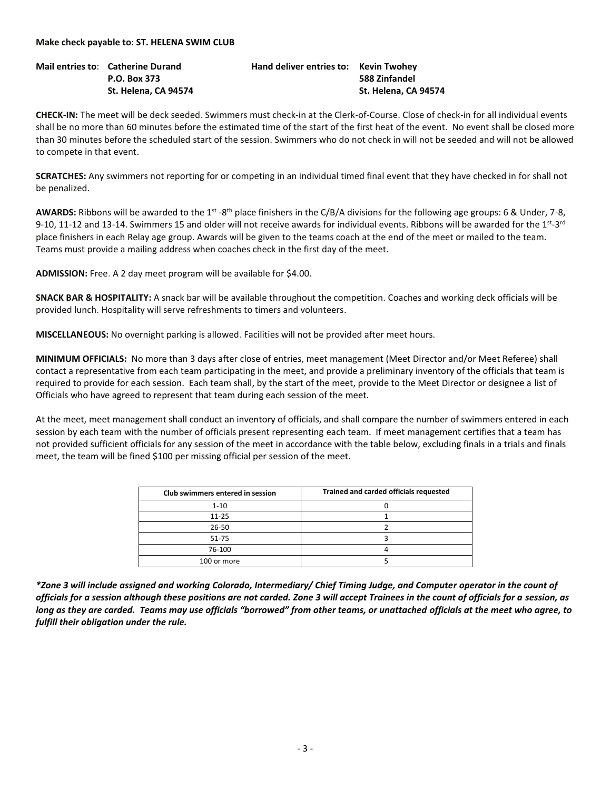**Mail entries to**: **Catherine Durand Hand deliver entries to: Kevin Twohey**

**CHECK-IN:** The meet will be deck seeded. Swimmers must check-in at the Clerk-of-Course. Close of check-in for all individual events shall be no more than 60 minutes before the estimated time of the start of the first heat of the event. No event shall be closed more than 30 minutes before the scheduled start of the session. Swimmers who do not check in will not be seeded and will not be allowed to compete in that event.

**SCRATCHES:** Any swimmers not reporting for or competing in an individual timed final event that they have checked in for shall not be penalized.

AWARDS: Ribbons will be awarded to the 1<sup>st</sup> -8<sup>th</sup> place finishers in the C/B/A divisions for the following age groups: 6 & Under, 7-8, 9-10, 11-12 and 13-14. Swimmers 15 and older will not receive awards for individual events. Ribbons will be awarded for the 1<sup>st</sup>-3<sup>rd</sup> place finishers in each Relay age group. Awards will be given to the teams coach at the end of the meet or mailed to the team. Teams must provide a mailing address when coaches check in the first day of the meet.

**ADMISSION:** Free. A 2 day meet program will be available for \$4.00.

**SNACK BAR & HOSPITALITY:** A snack bar will be available throughout the competition. Coaches and working deck officials will be provided lunch. Hospitality will serve refreshments to timers and volunteers.

**MISCELLANEOUS:** No overnight parking is allowed. Facilities will not be provided after meet hours.

**MINIMUM OFFICIALS:** No more than 3 days after close of entries, meet management (Meet Director and/or Meet Referee) shall contact a representative from each team participating in the meet, and provide a preliminary inventory of the officials that team is required to provide for each session. Each team shall, by the start of the meet, provide to the Meet Director or designee a list of Officials who have agreed to represent that team during each session of the meet.

At the meet, meet management shall conduct an inventory of officials, and shall compare the number of swimmers entered in each session by each team with the number of officials present representing each team. If meet management certifies that a team has not provided sufficient officials for any session of the meet in accordance with the table below, excluding finals in a trials and finals meet, the team will be fined \$100 per missing official per session of the meet.

| Club swimmers entered in session | Trained and carded officials requested |
|----------------------------------|----------------------------------------|
| $1 - 10$                         |                                        |
| $11 - 25$                        |                                        |
| 26-50                            |                                        |
| 51-75                            |                                        |
| 76-100                           |                                        |
| 100 or more                      |                                        |

*\*Zone 3 will include assigned and working Colorado, Intermediary/ Chief Timing Judge, and Computer operator in the count of officials for a session although these positions are not carded. Zone 3 will accept Trainees in the count of officials for a session, as long as they are carded. Teams may use officials "borrowed" from other teams, or unattached officials at the meet who agree, to fulfill their obligation under the rule.*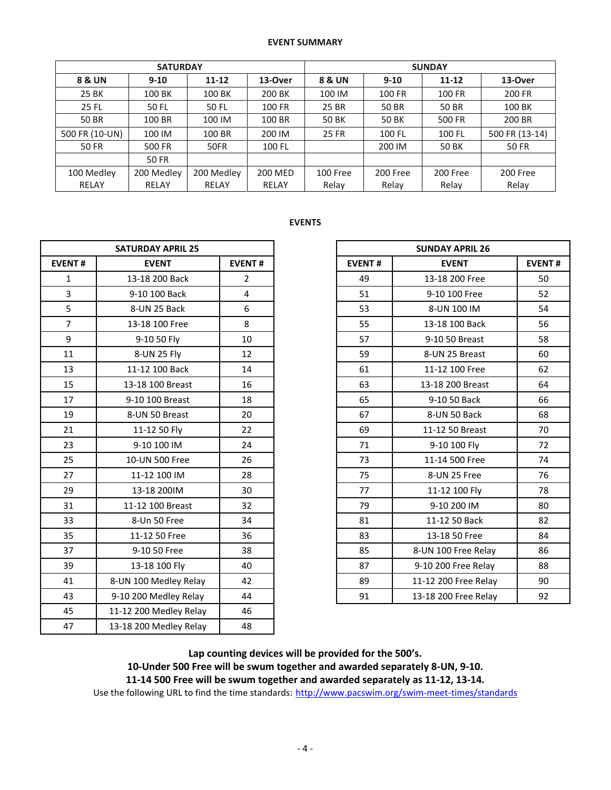#### **EVENT SUMMARY**

| <b>SATURDAY</b> |              |            |                | <b>SUNDAY</b> |               |           |                |  |  |
|-----------------|--------------|------------|----------------|---------------|---------------|-----------|----------------|--|--|
| 8 & UN          | $9 - 10$     | $11 - 12$  | 13-Over        | 8 & UN        | $9-10$        | $11 - 12$ | 13-Over        |  |  |
| 25 BK           | 100 BK       | 100 BK     | 200 BK         | 100 IM        | <b>100 FR</b> | 100 FR    | 200 FR         |  |  |
| 25 FL           | 50 FL        | 50 FL      | 100 FR         | 25 BR         | 50 BR         | 50 BR     | 100 BK         |  |  |
| 50 BR           | 100 BR       | 100 IM     | 100 BR         | 50 BK         | 50 BK         | 500 FR    | 200 BR         |  |  |
| 500 FR (10-UN)  | 100 IM       | 100 BR     | 200 IM         | 25 FR         | 100 FL        | 100 FL    | 500 FR (13-14) |  |  |
| <b>50 FR</b>    | 500 FR       | 50FR       | 100 FL         |               | 200 IM        | 50 BK     | <b>50 FR</b>   |  |  |
|                 | <b>50 FR</b> |            |                |               |               |           |                |  |  |
| 100 Medley      | 200 Medley   | 200 Medley | <b>200 MED</b> | 100 Free      | 200 Free      | 200 Free  | 200 Free       |  |  |
| <b>RELAY</b>    | RELAY        | RELAY      | RELAY          | Relay         | Relay         | Relay     | Relay          |  |  |

# **EVENTS**

|                | <b>SATURDAY APRIL 25</b> |                |               | <b>SUNDAY APRIL 26</b> |             |  |  |  |
|----------------|--------------------------|----------------|---------------|------------------------|-------------|--|--|--|
| <b>EVENT#</b>  | <b>EVENT</b>             | <b>EVENT#</b>  | <b>EVENT#</b> | <b>EVENT</b>           | <b>EVEN</b> |  |  |  |
| $\mathbf{1}$   | 13-18 200 Back           | $\overline{2}$ | 49            | 13-18 200 Free         |             |  |  |  |
| $\overline{3}$ | 9-10 100 Back            | $\overline{4}$ | 51            | 9-10 100 Free          |             |  |  |  |
| 5              | 8-UN 25 Back             | 6              | 53            | 8-UN 100 IM            |             |  |  |  |
| $\overline{7}$ | 13-18 100 Free           | 8              | 55            | 13-18 100 Back         |             |  |  |  |
| 9              | 9-10 50 Fly              | 10             | 57            | 9-10 50 Breast         |             |  |  |  |
| 11             | 8-UN 25 Fly              | 12             | 59            | 8-UN 25 Breast         |             |  |  |  |
| 13             | 11-12 100 Back           | 14             | 61            | 11-12 100 Free         |             |  |  |  |
| 15             | 13-18 100 Breast         | 16             | 63            | 13-18 200 Breast       |             |  |  |  |
| 17             | 9-10 100 Breast          | 18             | 65            | 9-10 50 Back           |             |  |  |  |
| 19             | 8-UN 50 Breast           | 20             | 67            | 8-UN 50 Back           |             |  |  |  |
| 21             | 11-12 50 Fly             | 22             | 69            | 11-12 50 Breast        |             |  |  |  |
| 23             | 9-10 100 IM              | 24             | 71            | 9-10 100 Fly           |             |  |  |  |
| 25             | 10-UN 500 Free           | 26             | 73            | 11-14 500 Free         |             |  |  |  |
| 27             | 11-12 100 IM             | 28             | 75            | 8-UN 25 Free           |             |  |  |  |
| 29             | 13-18 200IM              | 30             | 77            | 11-12 100 Fly          |             |  |  |  |
| 31             | 11-12 100 Breast         | 32             | 79            | 9-10 200 IM            |             |  |  |  |
| 33             | 8-Un 50 Free             | 34             | 81            | 11-12 50 Back          |             |  |  |  |
| 35             | 11-12 50 Free            | 36             | 83            | 13-18 50 Free          |             |  |  |  |
| 37             | 9-10 50 Free             | 38             | 85            | 8-UN 100 Free Relay    |             |  |  |  |
| 39             | 13-18 100 Fly            | 40             | 87            | 9-10 200 Free Relay    |             |  |  |  |
| 41             | 8-UN 100 Medley Relay    | 42             | 89            | 11-12 200 Free Relay   |             |  |  |  |
| 43             | 9-10 200 Medley Relay    | 44             | 91            | 13-18 200 Free Relay   |             |  |  |  |
| 45             | 11-12 200 Medley Relay   | 46             |               |                        |             |  |  |  |
| 47             | 13-18 200 Medley Relay   | 48             |               |                        |             |  |  |  |

|                | <b>SATURDAY APRIL 25</b> |                |
|----------------|--------------------------|----------------|
| <b>EVENT#</b>  | <b>EVENT</b>             | <b>EVENT#</b>  |
| $\mathbf{1}$   | 13-18 200 Back           | $\overline{2}$ |
| $\overline{3}$ | 9-10 100 Back            | 4              |
| 5              | 8-UN 25 Back             | 6              |
| $\overline{7}$ | 13-18 100 Free           | 8              |
| 9              | 9-10 50 Fly              | 10             |
| 11             | 8-UN 25 Fly              | 12             |
| 13             | 11-12 100 Back           | 14             |
| 15             | 13-18 100 Breast         | 16             |
| 17             | 9-10 100 Breast          | 18             |
| 19             | 8-UN 50 Breast           | 20             |
| 21             | 11-12 50 Fly             | 22             |
| 23             | 9-10 100 IM              | 24             |
| 25             | 10-UN 500 Free           | 26             |
| 27             | 11-12 100 IM             | 28             |
| 29             | 13-18 200IM              | 30             |
| 31             | 11-12 100 Breast         | 32             |
| 33             | 8-Un 50 Free             | 34             |
| 35             | 11-12 50 Free            | 36             |
| 37             | 9-10 50 Free             | 38             |
| 39             | 13-18 100 Fly            | 40             |
| 41             | 8-UN 100 Medley Relay    | 42             |
| 43             | 9-10 200 Medley Relay    | 44             |

**Lap counting devices will be provided for the 500's. 10-Under 500 Free will be swum together and awarded separately 8-UN, 9-10. 11-14 500 Free will be swum together and awarded separately as 11-12, 13-14.** Use the following URL to find the time standards: <http://www.pacswim.org/swim-meet-times/standards>